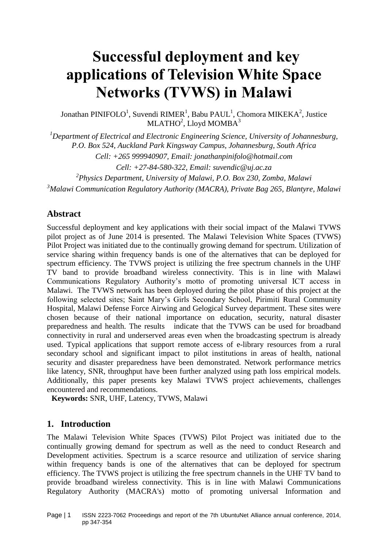# **Successful deployment and key applications of Television White Space Networks (TVWS) in Malawi**

Jonathan PINIFOLO<sup>1</sup>, Suvendi RIMER<sup>1</sup>, Babu PAUL<sup>1</sup>, Chomora MIKEKA<sup>2</sup>, Justice MLATHO<sup>2</sup>, Lloyd MOMBA<sup>3</sup>

*<sup>1</sup>Department of Electrical and Electronic Engineering Science, University of Johannesburg, P.O. Box 524, Auckland Park Kingsway Campus, Johannesburg, South Africa*

*Cell: +265 999940907, Email: jonathanpinifolo@hotmail.com*

*Cell: +27-84-580-322, Email: suvendic@uj.ac.za*

*2 Physics Department, University of Malawi, P.O. Box 230, Zomba, Malawi*

*<sup>3</sup>Malawi Communication Regulatory Authority (MACRA), Private Bag 265, Blantyre, Malawi*

### **Abstract**

Successful deployment and key applications with their social impact of the Malawi TVWS pilot project as of June 2014 is presented. The Malawi Television White Spaces (TVWS) Pilot Project was initiated due to the continually growing demand for spectrum. Utilization of service sharing within frequency bands is one of the alternatives that can be deployed for spectrum efficiency. The TVWS project is utilizing the free spectrum channels in the UHF TV band to provide broadband wireless connectivity. This is in line with Malawi Communications Regulatory Authority's motto of promoting universal ICT access in Malawi. The TVWS network has been deployed during the pilot phase of this project at the following selected sites; Saint Mary's Girls Secondary School, Pirimiti Rural Community Hospital, Malawi Defense Force Airwing and Gelogical Survey department. These sites were chosen because of their national importance on education, security, natural disaster preparedness and health. The results indicate that the TVWS can be used for broadband connectivity in rural and underserved areas even when the broadcasting spectrum is already used. Typical applications that support remote access of e-library resources from a rural secondary school and significant impact to pilot institutions in areas of health, national security and disaster preparedness have been demonstrated. Network performance metrics like latency, SNR, throughput have been further analyzed using path loss empirical models. Additionally, this paper presents key Malawi TVWS project achievements, challenges encountered and recommendations.

**Keywords:** SNR, UHF, Latency, TVWS, Malawi

# **1. Introduction**

The Malawi Television White Spaces (TVWS) Pilot Project was initiated due to the continually growing demand for spectrum as well as the need to conduct Research and Development activities. Spectrum is a scarce resource and utilization of service sharing within frequency bands is one of the alternatives that can be deployed for spectrum efficiency. The TVWS project is utilizing the free spectrum channels in the UHF TV band to provide broadband wireless connectivity. This is in line with Malawi Communications Regulatory Authority (MACRA's) motto of promoting universal Information and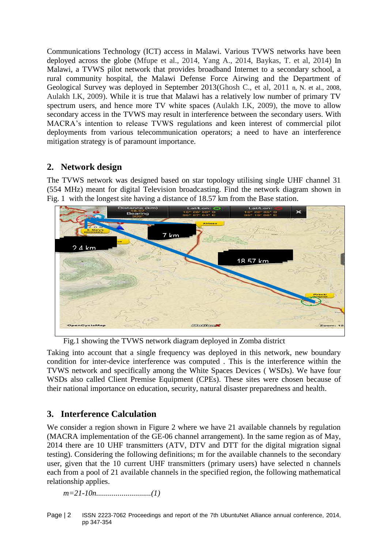Communications Technology (ICT) access in Malawi. Various TVWS networks have been deployed across the globe (Mfupe et al., 2014, Yang A., 2014, Baykas, T. et al, 2014) In Malawi, a TVWS pilot network that provides broadband Internet to a secondary school, a rural community hospital, the Malawi Defense Force Airwing and the Department of Geological Survey was deployed in September 2013(Ghosh C., et al, 2011 n, N. et al., 2008, Aulakh I.K, 2009). While it is true that Malawi has a relatively low number of primary TV spectrum users, and hence more TV white spaces (Aulakh I.K, 2009), the move to allow secondary access in the TVWS may result in interference between the secondary users. With MACRA's intention to release TVWS regulations and keen interest of commercial pilot deployments from various telecommunication operators; a need to have an interference mitigation strategy is of paramount importance.

# **2. Network design**

The TVWS network was designed based on star topology utilising single UHF channel 31 (554 MHz) meant for digital Television broadcasting. Find the network diagram shown in Fig. 1 with the longest site having a distance of 18.57 km from the Base station.



Fig.1 showing the TVWS network diagram deployed in Zomba district

Taking into account that a single frequency was deployed in this network, new boundary condition for inter-device interference was computed . This is the interference within the TVWS network and specifically among the White Spaces Devices ( WSDs). We have four WSDs also called Client Premise Equipment (CPEs). These sites were chosen because of their national importance on education, security, natural disaster preparedness and health.

# **3. Interference Calculation**

We consider a region shown in Figure 2 where we have 21 available channels by regulation (MACRA implementation of the GE-06 channel arrangement). In the same region as of May, 2014 there are 10 UHF transmitters (ATV, DTV and DTT for the digital migration signal testing). Considering the following definitions; m for the available channels to the secondary user, given that the 10 current UHF transmitters (primary users) have selected n channels each from a pool of 21 available channels in the specified region, the following mathematical relationship applies.

*m=21-10n............................(1)*

Page | 2 ISSN 2223-7062 Proceedings and report of the 7th UbuntuNet Alliance annual conference, 2014, pp 347-354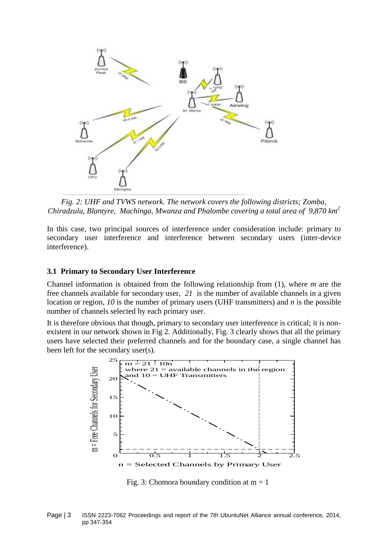

*Fig. 2: UHF and TVWS network. The network covers the following districts; Zomba, Chiradzulu, Blantyre, Machinga, Mwanza and Phalombe covering a total area of 9,870 km<sup>2</sup>*

In this case, two principal sources of interference under consideration include: primary to secondary user interference and interference between secondary users (inter-device interference).

#### **3.1 Primary to Secondary User Interference**

Channel information is obtained from the following relationship from (1), where *m* are the free channels available for secondary user, *21* is the number of available channels in a given location or region, *10* is the number of primary users (UHF transmitters) and *n* is the possible number of channels selected by each primary user.

It is therefore obvious that though, primary to secondary user interference is critical; it is nonexistent in our network shown in Fig 2. Additionally, Fig. 3 clearly shows that all the primary users have selected their preferred channels and for the boundary case, a single channel has been left for the secondary user(s).



Fig. 3: Chomora boundary condition at  $m = 1$ 

Page | 3 ISSN 2223-7062 Proceedings and report of the 7th UbuntuNet Alliance annual conference, 2014, pp 347-354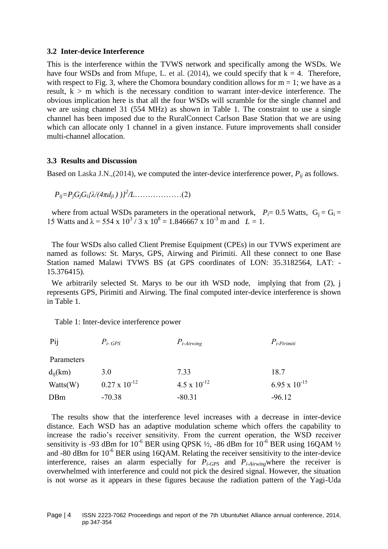#### **3.2 Inter-device Interference**

This is the interference within the TVWS network and specifically among the WSDs. We have four WSDs and from Mfupe, L. et al.  $(2014)$ , we could specify that  $k = 4$ . Therefore, with respect to Fig. 3, where the Chomora boundary condition allows for  $m = 1$ ; we have as a result,  $k > m$  which is the necessary condition to warrant inter-device interference. The obvious implication here is that all the four WSDs will scramble for the single channel and we are using channel 31 (554 MHz) as shown in Table 1. The constraint to use a single channel has been imposed due to the RuralConnect Carlson Base Station that we are using which can allocate only 1 channel in a given instance. Future improvements shall consider multi-channel allocation.

#### **3.3 Results and Discussion**

Based on Laska J.N.,(2014), we computed the inter-device interference power, *Pij* as follows.

 $P_{ij} = P_j G_j G_i \{ \lambda / (4 \pi d_{ji}) \}^2 / L \dots$ ……………………(2)

where from actual WSDs parameters in the operational network,  $P_i = 0.5$  Watts,  $G_i = G_i =$ 15 Watts and  $\lambda = 554 \times 10^3 / 3 \times 10^8 = 1.846667 \times 10^{-3}$  m and  $L = 1$ .

The four WSDs also called Client Premise Equipment (CPEs) in our TVWS experiment are named as follows: St. Marys, GPS, Airwing and Pirimiti. All these connect to one Base Station named Malawi TVWS BS (at GPS coordinates of LON: 35.3182564, LAT: - 15.376415).

We arbitrarily selected St. Marys to be our ith WSD node, implying that from (2), j represents GPS, Pirimiti and Airwing. The final computed inter-device interference is shown in Table 1.

Table 1: Inter-device interference power

| Pij          | $P_i$ - GPS            | $P_{i\text{-}Airwing}$ | $P_{i\text{-}Pirimiti}$ |
|--------------|------------------------|------------------------|-------------------------|
| Parameters   |                        |                        |                         |
| $d_{ii}(km)$ | 3.0                    | 7.33                   | 18.7                    |
| Watts(W)     | $0.27 \times 10^{-12}$ | $4.5 \times 10^{-12}$  | 6.95 x $10^{-15}$       |
| <b>DBm</b>   | $-70.38$               | $-80.31$               | $-96.12$                |

The results show that the interference level increases with a decrease in inter-device distance. Each WSD has an adaptive modulation scheme which offers the capability to increase the radio's receiver sensitivity. From the current operation, the WSD receiver sensitivity is -93 dBm for  $10^{-6}$  BER using QPSK  $\frac{1}{2}$ , -86 dBm for  $10^{-6}$  BER using 16QAM  $\frac{1}{2}$ and  $-80$  dBm for  $10^{-6}$  BER using 16QAM. Relating the receiver sensitivity to the inter-device interference, raises an alarm especially for  $P_i$ -GPS and  $P_i$ -Airwingwhere the receiver is overwhelmed with interference and could not pick the desired signal. However, the situation is not worse as it appears in these figures because the radiation pattern of the Yagi-Uda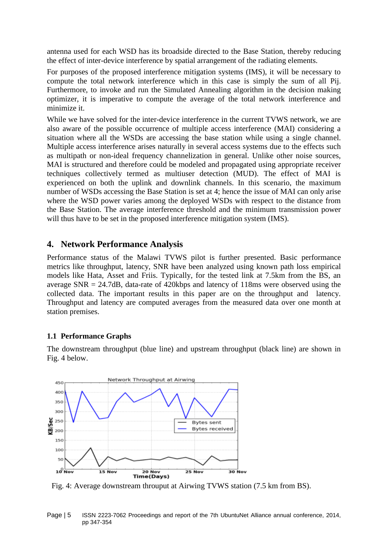antenna used for each WSD has its broadside directed to the Base Station, thereby reducing the effect of inter-device interference by spatial arrangement of the radiating elements.

For purposes of the proposed interference mitigation systems (IMS), it will be necessary to compute the total network interference which in this case is simply the sum of all Pij. Furthermore, to invoke and run the Simulated Annealing algorithm in the decision making optimizer, it is imperative to compute the average of the total network interference and minimize it.

While we have solved for the inter-device interference in the current TVWS network, we are also aware of the possible occurrence of multiple access interference (MAI) considering a situation where all the WSDs are accessing the base station while using a single channel. Multiple access interference arises naturally in several access systems due to the effects such as multipath or non-ideal frequency channelization in general. Unlike other noise sources, MAI is structured and therefore could be modeled and propagated using appropriate receiver techniques collectively termed as multiuser detection (MUD). The effect of MAI is experienced on both the uplink and downlink channels. In this scenario, the maximum number of WSDs accessing the Base Station is set at 4; hence the issue of MAI can only arise where the WSD power varies among the deployed WSDs with respect to the distance from the Base Station. The average interference threshold and the minimum transmission power will thus have to be set in the proposed interference mitigation system (IMS).

#### **4. Network Performance Analysis**

Performance status of the Malawi TVWS pilot is further presented. Basic performance metrics like throughput, latency, SNR have been analyzed using known path loss empirical models like Hata, Asset and Friis. Typically, for the tested link at 7.5km from the BS, an average SNR = 24.7dB, data-rate of 420kbps and latency of 118ms were observed using the collected data. The important results in this paper are on the throughput and latency. Throughput and latency are computed averages from the measured data over one month at station premises.

#### **1.1 Performance Graphs**

The downstream throughput (blue line) and upstream throughput (black line) are shown in Fig. 4 below.



Fig. 4: Average downstream throuput at Airwing TVWS station (7.5 km from BS).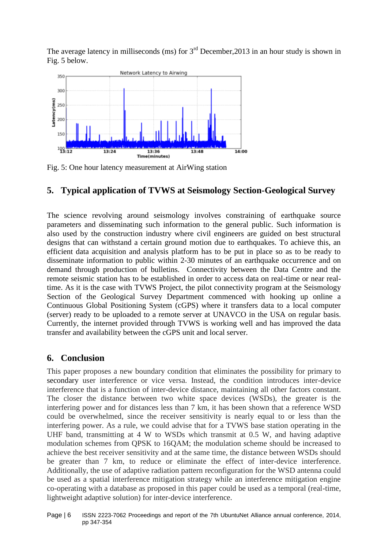The average latency in milliseconds (ms) for  $3<sup>rd</sup>$  December, 2013 in an hour study is shown in Fig. 5 below.



Fig. 5: One hour latency measurement at AirWing station

# **5. Typical application of TVWS at Seismology Section-Geological Survey**

The science revolving around seismology involves constraining of earthquake source parameters and disseminating such information to the general public. Such information is also used by the construction industry where civil engineers are guided on best structural designs that can withstand a certain ground motion due to earthquakes. To achieve this, an efficient data acquisition and analysis platform has to be put in place so as to be ready to disseminate information to public within 2-30 minutes of an earthquake occurrence and on demand through production of bulletins. Connectivity between the Data Centre and the remote seismic station has to be established in order to access data on real-time or near realtime. As it is the case with TVWS Project, the pilot connectivity program at the Seismology Section of the Geological Survey Department commenced with hooking up online a Continuous Global Positioning System (cGPS) where it transfers data to a local computer (server) ready to be uploaded to a remote server at UNAVCO in the USA on regular basis. Currently, the internet provided through TVWS is working well and has improved the data transfer and availability between the cGPS unit and local server.

# **6. Conclusion**

This paper proposes a new boundary condition that eliminates the possibility for primary to secondary user interference or vice versa. Instead, the condition introduces inter-device interference that is a function of inter-device distance, maintaining all other factors constant. The closer the distance between two white space devices (WSDs), the greater is the interfering power and for distances less than 7 km, it has been shown that a reference WSD could be overwhelmed, since the receiver sensitivity is nearly equal to or less than the interfering power. As a rule, we could advise that for a TVWS base station operating in the UHF band, transmitting at 4 W to WSDs which transmit at 0.5 W, and having adaptive modulation schemes from QPSK to 16QAM; the modulation scheme should be increased to achieve the best receiver sensitivity and at the same time, the distance between WSDs should be greater than 7 km, to reduce or eliminate the effect of inter-device interference. Additionally, the use of adaptive radiation pattern reconfiguration for the WSD antenna could be used as a spatial interference mitigation strategy while an interference mitigation engine co-operating with a database as proposed in this paper could be used as a temporal (real-time, lightweight adaptive solution) for inter-device interference.

Page | 6 ISSN 2223-7062 Proceedings and report of the 7th UbuntuNet Alliance annual conference, 2014, pp 347-354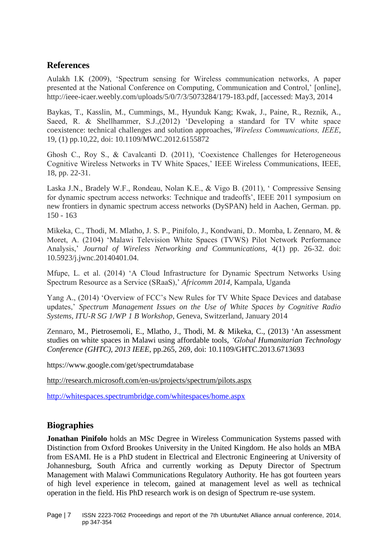# **References**

Aulakh I.K (2009), 'Spectrum sensing for Wireless communication networks, A paper presented at the National Conference on Computing, Communication and Control,' [online], http://ieee-icaer.weebly.com/uploads/5/0/7/3/5073284/179-183.pdf, [accessed: May3, 2014

Baykas, T., Kasslin, M., Cummings, M., Hyunduk Kang; Kwak, J., Paine, R., Reznik, A., Saeed, R. & Shellhammer, S.J.,(2012) 'Developing a standard for TV white space coexistence: technical challenges and solution approaches,*'Wireless Communications, IEEE*, 19, (1) pp.10,22, doi: 10.1109/MWC.2012.6155872

Ghosh C., Roy S., & Cavalcanti D. (2011), 'Coexistence Challenges for Heterogeneous Cognitive Wireless Networks in TV White Spaces,' IEEE Wireless Communications, IEEE, 18, pp. 22-31.

Laska J.N., Bradely W.F., Rondeau, Nolan K.E., & Vigo B. (2011), ' Compressive Sensing for dynamic spectrum access networks: Technique and tradeoffs', IEEE 2011 symposium on new frontiers in dynamic spectrum access networks (DySPAN) held in Aachen, German. pp. 150 - 163

Mikeka, C., Thodi, M. Mlatho, J. S. P., Pinifolo, J., Kondwani, D.. Momba, L Zennaro, M. & Moret, A. (2104) 'Malawi Television White Spaces (TVWS) Pilot Network Performance Analysis,' *Journal of Wireless Networking and Communications*, 4(1) pp. 26-32. doi: 10.5923/j.jwnc.20140401.04.

Mfupe, L. et al. (2014) 'A Cloud Infrastructure for Dynamic Spectrum Networks Using Spectrum Resource as a Service (SRaaS),' *Africomm 2014*, Kampala, Uganda

Yang A., (2014) 'Overview of FCC's New Rules for TV White Space Devices and database updates,' *Spectrum Management Issues on the Use of White Spaces by Cognitive Radio Systems, ITU-R SG 1/WP 1 B Workshop*, Geneva, Switzerland, January 2014

Zennaro, M., Pietrosemoli, E., Mlatho, J., Thodi, M. & Mikeka, C., (2013) 'An assessment studies on white spaces in Malawi using affordable tools, *'Global Humanitarian Technology Conference (GHTC), 2013 IEEE*, pp.265, 269, doi: 10.1109/GHTC.2013.6713693

https://www.google.com/get/spectrumdatabase

<http://research.microsoft.com/en-us/projects/spectrum/pilots.aspx>

<http://whitespaces.spectrumbridge.com/whitespaces/home.aspx>

# **Biographies**

**Jonathan Pinifolo** holds an MSc Degree in Wireless Communication Systems passed with Distinction from Oxford Brookes University in the United Kingdom. He also holds an MBA from ESAMI. He is a PhD student in Electrical and Electronic Engineering at University of Johannesburg, South Africa and currently working as Deputy Director of Spectrum Management with Malawi Communications Regulatory Authority. He has got fourteen years of high level experience in telecom, gained at management level as well as technical operation in the field. His PhD research work is on design of Spectrum re-use system.